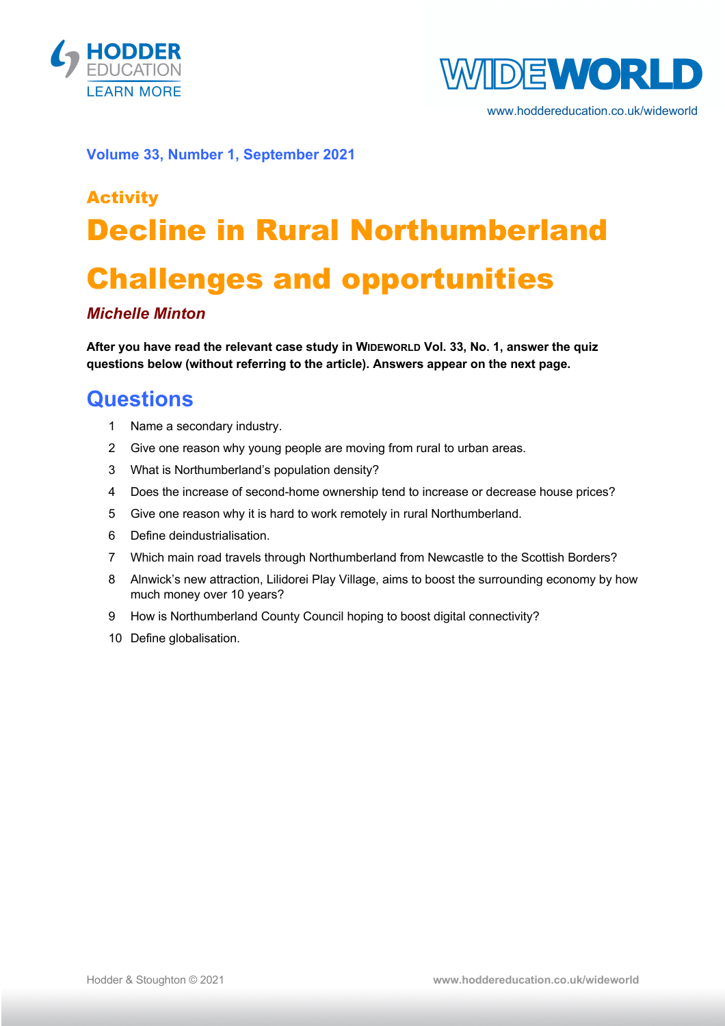



www.hoddereducation.co.uk/wideworld

**Volume 33, Number 1, September 2021**

# Activity Decline in Rural Northumberland Challenges and opportunities

#### *Michelle Minton*

**After you have read the relevant case study in WIDEWORLD Vol. 33, No. 1, answer the quiz questions below (without referring to the article). Answers appear on the next page.**

### **Questions**

- 1 Name a secondary industry.
- 2 Give one reason why young people are moving from rural to urban areas.
- 3 What is Northumberland's population density?
- 4 Does the increase of second-home ownership tend to increase or decrease house prices?
- 5 Give one reason why it is hard to work remotely in rural Northumberland.
- 6 Define deindustrialisation.
- 7 Which main road travels through Northumberland from Newcastle to the Scottish Borders?
- 8 Alnwick's new attraction, Lilidorei Play Village, aims to boost the surrounding economy by how much money over 10 years?
- 9 How is Northumberland County Council hoping to boost digital connectivity?
- 10 Define globalisation.